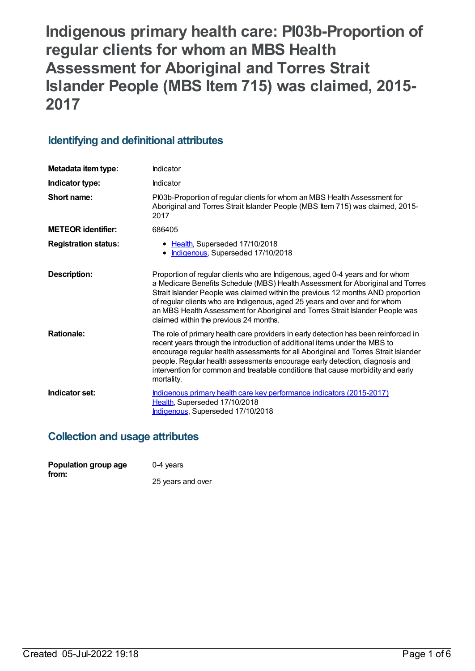**Indigenous primary health care: PI03b-Proportion of regular clients for whom an MBS Health Assessment for Aboriginal and Torres Strait Islander People (MBS Item 715) was claimed, 2015- 2017**

## **Identifying and definitional attributes**

| Metadata item type:         | Indicator                                                                                                                                                                                                                                                                                                                                                                                                                                                   |
|-----------------------------|-------------------------------------------------------------------------------------------------------------------------------------------------------------------------------------------------------------------------------------------------------------------------------------------------------------------------------------------------------------------------------------------------------------------------------------------------------------|
| Indicator type:             | Indicator                                                                                                                                                                                                                                                                                                                                                                                                                                                   |
| Short name:                 | PI03b-Proportion of regular clients for whom an MBS Health Assessment for<br>Aboriginal and Torres Strait Islander People (MBS Item 715) was claimed, 2015-<br>2017                                                                                                                                                                                                                                                                                         |
| <b>METEOR identifier:</b>   | 686405                                                                                                                                                                                                                                                                                                                                                                                                                                                      |
| <b>Registration status:</b> | • Health, Superseded 17/10/2018<br>• Indigenous, Superseded 17/10/2018                                                                                                                                                                                                                                                                                                                                                                                      |
| Description:                | Proportion of regular clients who are Indigenous, aged 0-4 years and for whom<br>a Medicare Benefits Schedule (MBS) Health Assessment for Aboriginal and Torres<br>Strait Islander People was claimed within the previous 12 months AND proportion<br>of regular clients who are Indigenous, aged 25 years and over and for whom<br>an MBS Health Assessment for Aboriginal and Torres Strait Islander People was<br>claimed within the previous 24 months. |
| <b>Rationale:</b>           | The role of primary health care providers in early detection has been reinforced in<br>recent years through the introduction of additional items under the MBS to<br>encourage regular health assessments for all Aboriginal and Torres Strait Islander<br>people. Regular health assessments encourage early detection, diagnosis and<br>intervention for common and treatable conditions that cause morbidity and early<br>mortality.                     |
| Indicator set:              | Indigenous primary health care key performance indicators (2015-2017)<br>Health, Superseded 17/10/2018<br>Indigenous, Superseded 17/10/2018                                                                                                                                                                                                                                                                                                                 |

## **Collection and usage attributes**

| Population group age | 0-4 years         |
|----------------------|-------------------|
| from:                | 25 years and over |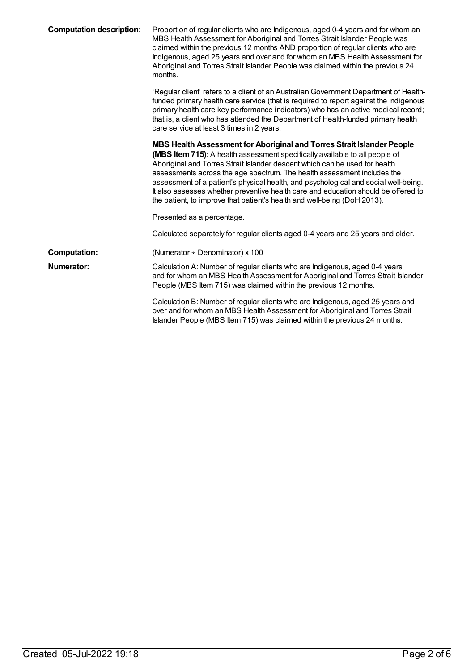| <b>Computation description:</b> | Proportion of regular clients who are Indigenous, aged 0-4 years and for whom an<br>MBS Health Assessment for Aboriginal and Torres Strait Islander People was<br>claimed within the previous 12 months AND proportion of regular clients who are<br>Indigenous, aged 25 years and over and for whom an MBS Health Assessment for<br>Aboriginal and Torres Strait Islander People was claimed within the previous 24<br>months.                                                                                                                                         |
|---------------------------------|-------------------------------------------------------------------------------------------------------------------------------------------------------------------------------------------------------------------------------------------------------------------------------------------------------------------------------------------------------------------------------------------------------------------------------------------------------------------------------------------------------------------------------------------------------------------------|
|                                 | 'Regular client' refers to a client of an Australian Government Department of Health-<br>funded primary health care service (that is required to report against the Indigenous<br>primary health care key performance indicators) who has an active medical record;<br>that is, a client who has attended the Department of Health-funded primary health<br>care service at least 3 times in 2 years.                                                                                                                                                                   |
|                                 | MBS Health Assessment for Aboriginal and Torres Strait Islander People<br>(MBS Item 715): A health assessment specifically available to all people of<br>Aboriginal and Torres Strait Islander descent which can be used for health<br>assessments across the age spectrum. The health assessment includes the<br>assessment of a patient's physical health, and psychological and social well-being.<br>It also assesses whether preventive health care and education should be offered to<br>the patient, to improve that patient's health and well-being (DoH 2013). |
|                                 | Presented as a percentage.                                                                                                                                                                                                                                                                                                                                                                                                                                                                                                                                              |
|                                 | Calculated separately for regular clients aged 0-4 years and 25 years and older.                                                                                                                                                                                                                                                                                                                                                                                                                                                                                        |
| <b>Computation:</b>             | (Numerator + Denominator) x 100                                                                                                                                                                                                                                                                                                                                                                                                                                                                                                                                         |
| Numerator:                      | Calculation A: Number of regular clients who are Indigenous, aged 0-4 years<br>and for whom an MBS Health Assessment for Aboriginal and Torres Strait Islander<br>People (MBS Item 715) was claimed within the previous 12 months.                                                                                                                                                                                                                                                                                                                                      |
|                                 | Calculation B: Number of regular clients who are Indigenous, aged 25 years and<br>over and for whom an MBS Health Assessment for Aboriginal and Torres Strait<br>Islander People (MBS Item 715) was claimed within the previous 24 months.                                                                                                                                                                                                                                                                                                                              |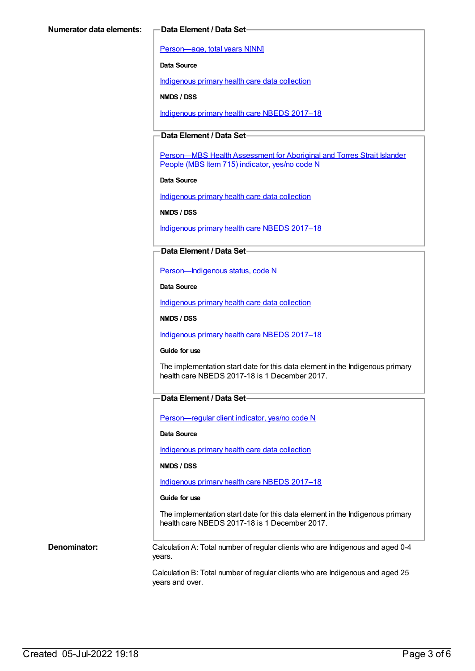[Person—age,](https://meteor.aihw.gov.au/content/303794) total years N[NN]

**Data Source**

[Indigenous](https://meteor.aihw.gov.au/content/430643) primary health care data collection

**NMDS / DSS**

[Indigenous](https://meteor.aihw.gov.au/content/686603) primary health care NBEDS 2017–18

### **Data Element / Data Set**

[Person—MBS](https://meteor.aihw.gov.au/content/504933) Health Assessment for Aboriginal and Torres Strait Islander People (MBS Item 715) indicator, yes/no code N

**Data Source**

[Indigenous](https://meteor.aihw.gov.au/content/430643) primary health care data collection

**NMDS / DSS**

[Indigenous](https://meteor.aihw.gov.au/content/686603) primary health care NBEDS 2017-18

#### **Data Element / Data Set**

[Person—Indigenous](https://meteor.aihw.gov.au/content/602543) status, code N

**Data Source**

[Indigenous](https://meteor.aihw.gov.au/content/430643) primary health care data collection

**NMDS / DSS**

[Indigenous](https://meteor.aihw.gov.au/content/686603) primary health care NBEDS 2017–18

#### **Guide for use**

The implementation start date for this data element in the Indigenous primary health care NBEDS 2017-18 is 1 December 2017.

#### **Data Element / Data Set**

[Person—regular](https://meteor.aihw.gov.au/content/686291) client indicator, yes/no code N

**Data Source**

[Indigenous](https://meteor.aihw.gov.au/content/430643) primary health care data collection

#### **NMDS / DSS**

[Indigenous](https://meteor.aihw.gov.au/content/686603) primary health care NBEDS 2017–18

#### **Guide for use**

The implementation start date for this data element in the Indigenous primary health care NBEDS 2017-18 is 1 December 2017.

**Denominator:** Calculation A: Total number of regular clients who are Indigenous and aged 0-4 years.

> Calculation B: Total number of regular clients who are Indigenous and aged 25 years and over.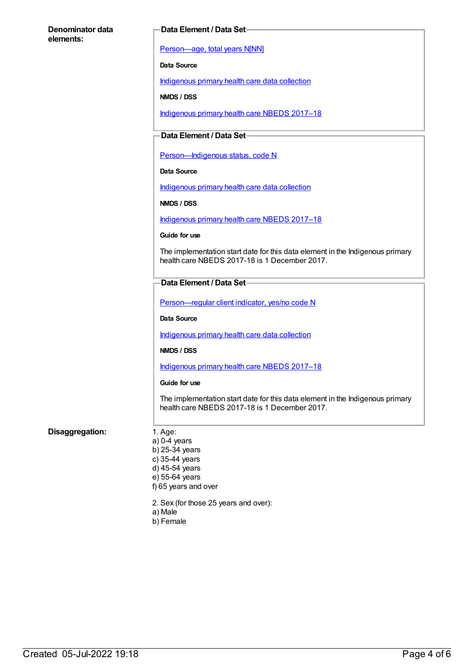#### **Denominator data elements:**

#### **Data Element / Data Set**

[Person—age,](https://meteor.aihw.gov.au/content/303794) total years N[NN]

**Data Source**

[Indigenous](https://meteor.aihw.gov.au/content/430643) primary health care data collection

**NMDS / DSS**

[Indigenous](https://meteor.aihw.gov.au/content/686603) primary health care NBEDS 2017–18

### **Data Element / Data Set**

Person-Indigenous status, code N

**Data Source**

[Indigenous](https://meteor.aihw.gov.au/content/430643) primary health care data collection

**NMDS / DSS**

[Indigenous](https://meteor.aihw.gov.au/content/686603) primary health care NBEDS 2017–18

**Guide for use**

The implementation start date for this data element in the Indigenous primary health care NBEDS 2017-18 is 1 December 2017.

#### **Data Element / Data Set**

Person-regular client indicator, yes/no code N

**Data Source**

[Indigenous](https://meteor.aihw.gov.au/content/430643) primary health care data collection

**NMDS / DSS**

[Indigenous](https://meteor.aihw.gov.au/content/686603) primary health care NBEDS 2017–18

#### **Guide for use**

The implementation start date for this data element in the Indigenous primary health care NBEDS 2017-18 is 1 December 2017.

#### **Disaggregation:** 1. Age:

- a) 0-4 years b) 25-34 years c) 35-44 years d) 45-54 years e) 55-64 years f) 65 years and over
- 2. Sex (for those 25 years and over):
- a) Male
- b) Female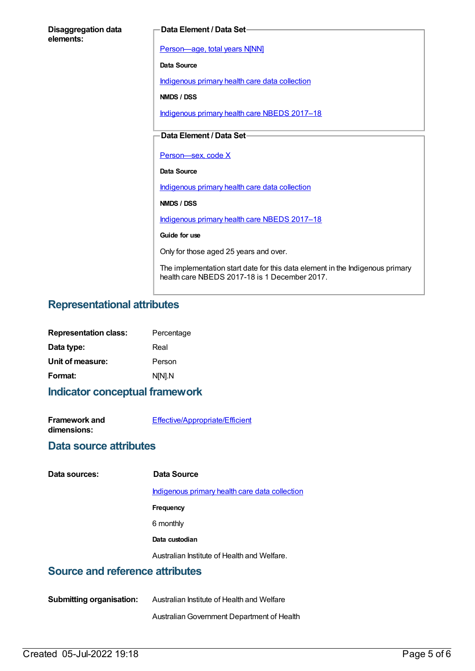|                                         | Data Element / Data Set-                                                                                                       |
|-----------------------------------------|--------------------------------------------------------------------------------------------------------------------------------|
| <b>Disaggregation data</b><br>elements: |                                                                                                                                |
|                                         | Person-age, total years N[NN]                                                                                                  |
|                                         | Data Source                                                                                                                    |
|                                         | Indigenous primary health care data collection                                                                                 |
|                                         | NMDS / DSS                                                                                                                     |
|                                         | Indigenous primary health care NBEDS 2017-18                                                                                   |
|                                         | Data Element / Data Set-                                                                                                       |
|                                         |                                                                                                                                |
|                                         | Person-sex, code X                                                                                                             |
|                                         | Data Source                                                                                                                    |
|                                         | Indigenous primary health care data collection                                                                                 |
|                                         | NMDS / DSS                                                                                                                     |
|                                         | Indigenous primary health care NBEDS 2017-18                                                                                   |
|                                         | Guide for use                                                                                                                  |
|                                         | Only for those aged 25 years and over.                                                                                         |
|                                         | The implementation start date for this data element in the Indigenous primary<br>health care NBEDS 2017-18 is 1 December 2017. |

# **Representational attributes**

| <b>Representation class:</b> | Percentage |
|------------------------------|------------|
| Data type:                   | Real       |
| Unit of measure:             | Person     |
| Format:                      | N[N].N     |
|                              |            |

**Indicator conceptual framework**

| <b>Framework and</b> | <b>Effective/Appropriate/Efficient</b> |
|----------------------|----------------------------------------|
| dimensions:          |                                        |

## **Data source attributes**

| Data sources: | Data Source                                    |
|---------------|------------------------------------------------|
|               | Indigenous primary health care data collection |
|               | Frequency                                      |
|               | 6 monthly                                      |
|               | Data custodian                                 |
|               | Australian Institute of Health and Welfare.    |

## **Source and reference attributes**

| <b>Submitting organisation:</b> | Australian Institute of Health and Welfare |
|---------------------------------|--------------------------------------------|
|                                 | Australian Government Department of Health |